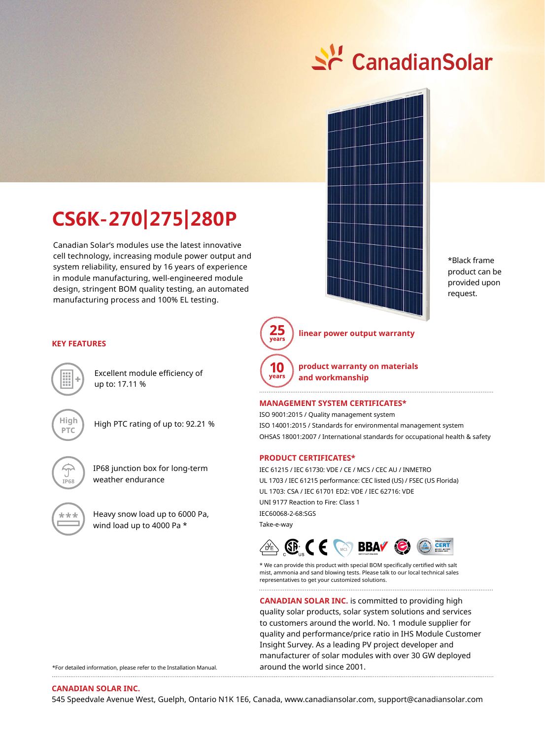



\*Black frame product can be provided upon request.



### **linear power output warranty**

**product warranty on materials**  vears **and workmanship**

#### **Management System Certificates\***

ISO 9001:2015 / Quality management system ISO 14001:2015 / Standards for environmental management system OHSAS 18001:2007 / International standards for occupational health & safety

#### **Product CERTIFICATEs\***

IEC 61215 / IEC 61730: VDE / CE / MCS / CEC AU / INMETRO UL 1703 / IEC 61215 performance: CEC listed (US) / FSEC (US Florida) UL 1703: CSA / IEC 61701 ED2: VDE / IEC 62716: VDE UNI 9177 Reaction to Fire: Class 1 IEC60068-2-68:SGS Take-e-way



\* We can provide this product with special BOM specifically certified with salt mist, ammonia and sand blowing tests. Please talk to our local technical sales representatives to get your customized solutions. 

**CANADIAN SOLAR INC.** is committed to providing high quality solar products, solar system solutions and services to customers around the world. No. 1 module supplier for quality and performance/price ratio in IHS Module Customer Insight Survey. As a leading PV project developer and manufacturer of solar modules with over 30 GW deployed around the world since 2001. 

# **CS6K-270|275|280P**

Canadian Solar's modules use the latest innovative cell technology, increasing module power output and system reliability, ensured by 16 years of experience in module manufacturing, well-engineered module design, stringent BOM quality testing, an automated manufacturing process and 100% EL testing.

#### **KEY FEATURES**

Excellent module efficiency of up to: 17.11 %



High PTC rating of up to: 92.21  %



IP68 junction box for long-term weather endurance



Heavy snow load up to 6000 Pa, wind load up to 4000 Pa \*

\*For detailed information, please refer to the Installation Manual.

#### **Canadian Solar Inc.**

545 Speedvale Avenue West, Guelph, Ontario N1K 1E6, Canada, www.canadiansolar.com, support@canadiansolar.com